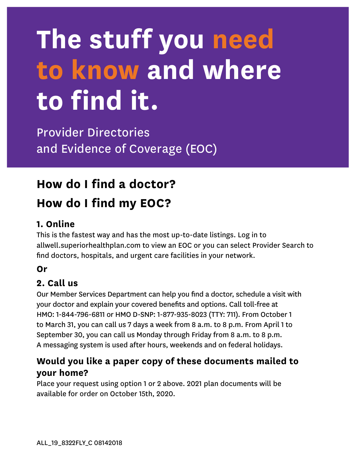# **The stuff you need to know and where to find it.**

Provider Directories and Evidence of Coverage (EOC)

# **How do I find a doctor? How do I find my EOC?**

## **1. Online**

This is the fastest way and has the most up-to-date listings. Log in to [allwell.superiorhealthplan.com](http://allwell.superiorhealthplan.com) to view an EOC or you can select Provider Search to find doctors, hospitals, and urgent care facilities in your network.

#### **Or**

#### **2. Call us**

Our Member Services Department can help you find a doctor, schedule a visit with your doctor and explain your covered benefits and options. Call toll-free at HMO: 1-844-796-6811 or HMO D-SNP: 1-877-935-8023 (TTY: 711). From October 1 to March 31, you can call us 7 days a week from 8 a.m. to 8 p.m. From April 1 to September 30, you can call us Monday through Friday from 8 a.m. to 8 p.m. A messaging system is used after hours, weekends and on federal holidays.

## **Would you like a paper copy of these documents mailed to your home?**

Place your request using option 1 or 2 above. 2021 plan documents will be available for order on October 15th, 2020.